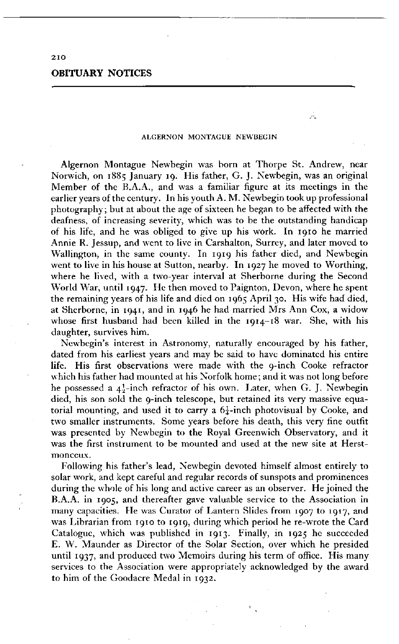## **OBITUARY NOTICES**

## **ALGERNON MONTAGUE NEWBEGIN**

 $\lambda$  .

Algernon Montague Newbegin was born at Thorpe St. Andrew, near Norwich, on 1885 January 19. His father, G. J. Newbegin, was an original Member of the B.A.A., and was a familiar figure at its meetings in the earlier years of the century. In his youth A. M. Newbegin took up professional photography; but at about the age of sixteen he began to be affected with the deafness, of increasing severity, which was to be the outstanding handicap of his life, and he was obliged to give up his work. In 1910 he married Annie R. Jessup, and went to live in Carshalton, Surrey, and later moved to Wallington, in the same county. In 1919 his father died, and Newbegin went to live in his house at Sutton, nearby. In 1927 he moved to Worthing, where he lived, with a two-year interval at Sherborne during the Second World War, until 1947. He then moved to Paignton, Devon, where he spent the remaining years of his life and died on 1965 April 30. His wife had died, at Sherborne, in 1941, and in 1946 he had married Mrs Ann Cox, a widow whose first husband had been killed in the 1914-18 war. She, with his daughter, survives him.

Newbegin's interest in Astronomy, naturally encouraged by his father, dated from his earliest years and may be said to have dominated his entire life. His first observations were made with the 9-inch Cooke refractor which his father had mounted at his Norfolk home ; and it was not long before he possessed a  $4!$ -inch refractor of his own. Later, when G. J. Newbegin died, his son sold the 9-inch telescope, but retained its very massive equatorial mounting, and used it to carry a  $6\frac{1}{4}$ -inch photovisual by Cooke, and two smaller instruments. Some years before his death, this very fine outfit was presented by Newbegin to the Royal Greenwich Observatory, and it was the first instrument to be mounted and used at the new site at Herstmonceux.

Following his father's lead, Newbegin devoted himself almost entirely to solar work, and kept careful and regular records of sunspots and prominences during the whole of his long and active career as an observer. He joined the B.A.A. in 1905, and thereafter gave valuable service to the Association in many capacities. He was Curator of Lantern Slides from 1907 to 1917, and was Librarian from 1910 to 1919, during which period he re-wrote the Card Catalogue, which was published in 1913. Finally, in 1925 he succeeded E. W. Maunder as Director of the Solar Section, over which he presided until 1937, and produced two Memoirs during his term of office. His many services to the Association were appropriately acknowledged by the award to him of the Goodacre Medal in 1932.

**2 IO**